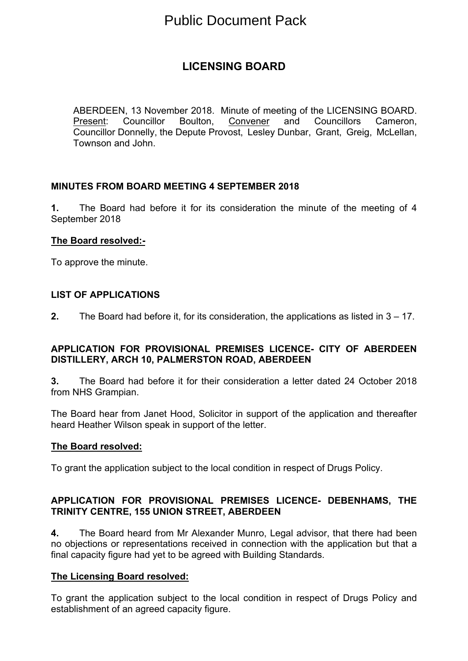# Public Document Pack

## **LICENSING BOARD**

ABERDEEN, 13 November 2018. Minute of meeting of the LICENSING BOARD. Present: Councillor Boulton, Convener and Councillors Cameron, Councillor Donnelly, the Depute Provost, Lesley Dunbar, Grant, Greig, McLellan, Townson and John.

#### **MINUTES FROM BOARD MEETING 4 SEPTEMBER 2018**

**1.** The Board had before it for its consideration the minute of the meeting of 4 September 2018

#### **The Board resolved:-**

To approve the minute.

#### **LIST OF APPLICATIONS**

**2.** The Board had before it, for its consideration, the applications as listed in 3 – 17.

#### **APPLICATION FOR PROVISIONAL PREMISES LICENCE- CITY OF ABERDEEN DISTILLERY, ARCH 10, PALMERSTON ROAD, ABERDEEN**

**3.** The Board had before it for their consideration a letter dated 24 October 2018 from NHS Grampian.

The Board hear from Janet Hood, Solicitor in support of the application and thereafter heard Heather Wilson speak in support of the letter.

#### **The Board resolved:**

To grant the application subject to the local condition in respect of Drugs Policy.

#### **APPLICATION FOR PROVISIONAL PREMISES LICENCE- DEBENHAMS, THE TRINITY CENTRE, 155 UNION STREET, ABERDEEN**

**4.** The Board heard from Mr Alexander Munro, Legal advisor, that there had been no objections or representations received in connection with the application but that a final capacity figure had yet to be agreed with Building Standards.

#### **The Licensing Board resolved:**

To grant the application subject to the local condition in respect of Drugs Policy and establishment of an agreed capacity figure.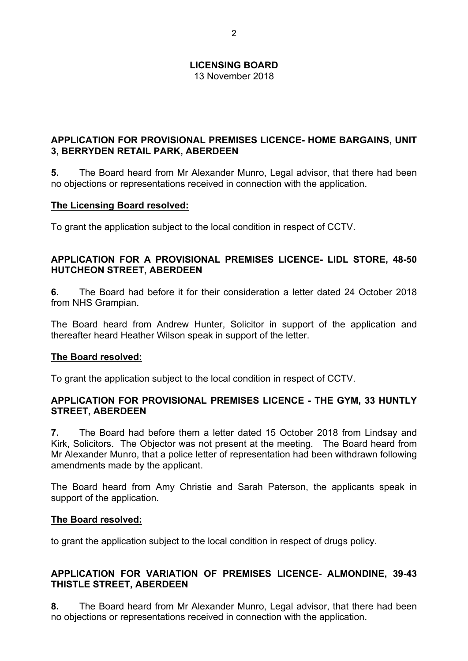13 November 2018

#### **APPLICATION FOR PROVISIONAL PREMISES LICENCE- HOME BARGAINS, UNIT 3, BERRYDEN RETAIL PARK, ABERDEEN**

**5.** The Board heard from Mr Alexander Munro, Legal advisor, that there had been no objections or representations received in connection with the application.

#### **The Licensing Board resolved:**

To grant the application subject to the local condition in respect of CCTV.

#### **APPLICATION FOR A PROVISIONAL PREMISES LICENCE- LIDL STORE, 48-50 HUTCHEON STREET, ABERDEEN**

**6.** The Board had before it for their consideration a letter dated 24 October 2018 from NHS Grampian.

The Board heard from Andrew Hunter, Solicitor in support of the application and thereafter heard Heather Wilson speak in support of the letter.

#### **The Board resolved:**

To grant the application subject to the local condition in respect of CCTV.

#### **APPLICATION FOR PROVISIONAL PREMISES LICENCE - THE GYM, 33 HUNTLY STREET, ABERDEEN**

**7.** The Board had before them a letter dated 15 October 2018 from Lindsay and Kirk, Solicitors. The Objector was not present at the meeting. The Board heard from Mr Alexander Munro, that a police letter of representation had been withdrawn following amendments made by the applicant.

The Board heard from Amy Christie and Sarah Paterson, the applicants speak in support of the application.

#### **The Board resolved:**

to grant the application subject to the local condition in respect of drugs policy.

#### **APPLICATION FOR VARIATION OF PREMISES LICENCE- ALMONDINE, 39-43 THISTLE STREET, ABERDEEN**

**8.** The Board heard from Mr Alexander Munro, Legal advisor, that there had been no objections or representations received in connection with the application.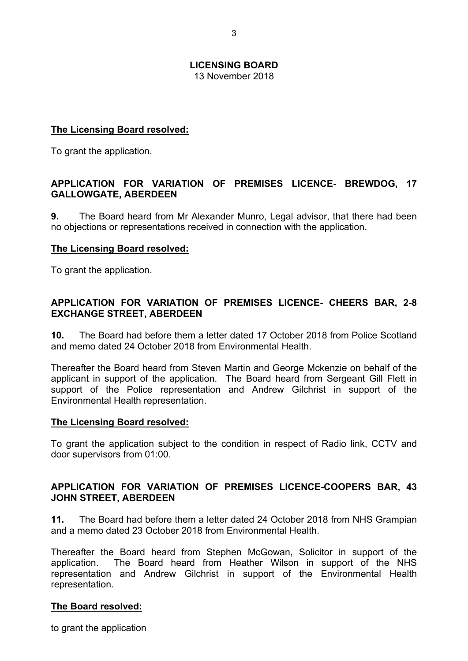13 November 2018

#### **The Licensing Board resolved:**

To grant the application.

#### **APPLICATION FOR VARIATION OF PREMISES LICENCE- BREWDOG, 17 GALLOWGATE, ABERDEEN**

**9.** The Board heard from Mr Alexander Munro, Legal advisor, that there had been no objections or representations received in connection with the application.

#### **The Licensing Board resolved:**

To grant the application.

#### **APPLICATION FOR VARIATION OF PREMISES LICENCE- CHEERS BAR, 2-8 EXCHANGE STREET, ABERDEEN**

**10.** The Board had before them a letter dated 17 October 2018 from Police Scotland and memo dated 24 October 2018 from Environmental Health.

Thereafter the Board heard from Steven Martin and George Mckenzie on behalf of the applicant in support of the application. The Board heard from Sergeant Gill Flett in support of the Police representation and Andrew Gilchrist in support of the Environmental Health representation.

#### **The Licensing Board resolved:**

To grant the application subject to the condition in respect of Radio link, CCTV and door supervisors from 01:00.

#### **APPLICATION FOR VARIATION OF PREMISES LICENCE-COOPERS BAR, 43 JOHN STREET, ABERDEEN**

**11.** The Board had before them a letter dated 24 October 2018 from NHS Grampian and a memo dated 23 October 2018 from Environmental Health.

Thereafter the Board heard from Stephen McGowan, Solicitor in support of the application. The Board heard from Heather Wilson in support of the NHS representation and Andrew Gilchrist in support of the Environmental Health representation.

#### **The Board resolved:**

to grant the application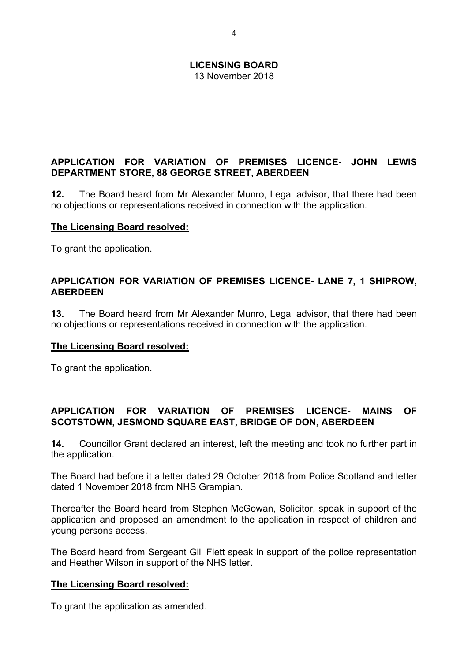13 November 2018

#### **APPLICATION FOR VARIATION OF PREMISES LICENCE- JOHN LEWIS DEPARTMENT STORE, 88 GEORGE STREET, ABERDEEN**

**12.** The Board heard from Mr Alexander Munro, Legal advisor, that there had been no objections or representations received in connection with the application.

#### **The Licensing Board resolved:**

To grant the application.

#### **APPLICATION FOR VARIATION OF PREMISES LICENCE- LANE 7, 1 SHIPROW, ABERDEEN**

**13.** The Board heard from Mr Alexander Munro, Legal advisor, that there had been no objections or representations received in connection with the application.

#### **The Licensing Board resolved:**

To grant the application.

#### **APPLICATION FOR VARIATION OF PREMISES LICENCE- MAINS OF SCOTSTOWN, JESMOND SQUARE EAST, BRIDGE OF DON, ABERDEEN**

**14.** Councillor Grant declared an interest, left the meeting and took no further part in the application.

The Board had before it a letter dated 29 October 2018 from Police Scotland and letter dated 1 November 2018 from NHS Grampian.

Thereafter the Board heard from Stephen McGowan, Solicitor, speak in support of the application and proposed an amendment to the application in respect of children and young persons access.

The Board heard from Sergeant Gill Flett speak in support of the police representation and Heather Wilson in support of the NHS letter.

#### **The Licensing Board resolved:**

To grant the application as amended.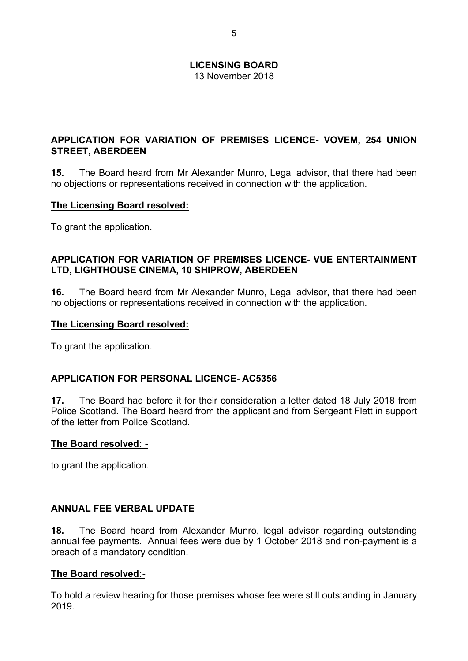13 November 2018

#### **APPLICATION FOR VARIATION OF PREMISES LICENCE- VOVEM, 254 UNION STREET, ABERDEEN**

**15.** The Board heard from Mr Alexander Munro, Legal advisor, that there had been no objections or representations received in connection with the application.

#### **The Licensing Board resolved:**

To grant the application.

#### **APPLICATION FOR VARIATION OF PREMISES LICENCE- VUE ENTERTAINMENT LTD, LIGHTHOUSE CINEMA, 10 SHIPROW, ABERDEEN**

**16.** The Board heard from Mr Alexander Munro, Legal advisor, that there had been no objections or representations received in connection with the application.

#### **The Licensing Board resolved:**

To grant the application.

#### **APPLICATION FOR PERSONAL LICENCE- AC5356**

**17.** The Board had before it for their consideration a letter dated 18 July 2018 from Police Scotland. The Board heard from the applicant and from Sergeant Flett in support of the letter from Police Scotland.

#### **The Board resolved: -**

to grant the application.

#### **ANNUAL FEE VERBAL UPDATE**

**18.** The Board heard from Alexander Munro, legal advisor regarding outstanding annual fee payments. Annual fees were due by 1 October 2018 and non-payment is a breach of a mandatory condition.

#### **The Board resolved:-**

To hold a review hearing for those premises whose fee were still outstanding in January 2019.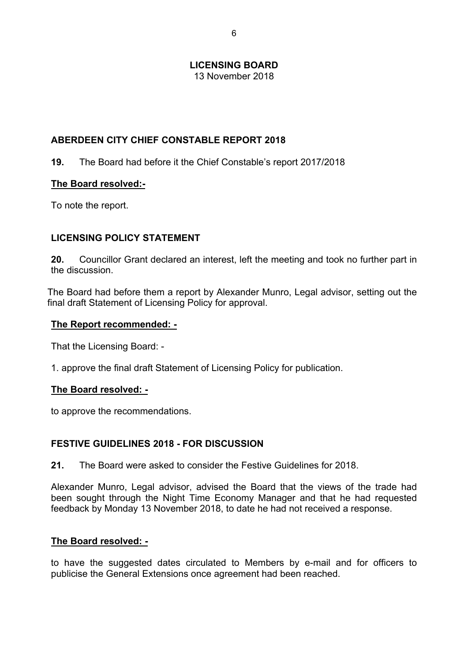13 November 2018

#### **ABERDEEN CITY CHIEF CONSTABLE REPORT 2018**

#### **19.** The Board had before it the Chief Constable's report 2017/2018

#### **The Board resolved:-**

To note the report.

#### **LICENSING POLICY STATEMENT**

**20.** Councillor Grant declared an interest, left the meeting and took no further part in the discussion.

The Board had before them a report by Alexander Munro, Legal advisor, setting out the final draft Statement of Licensing Policy for approval.

#### **The Report recommended: -**

That the Licensing Board: -

1. approve the final draft Statement of Licensing Policy for publication.

#### **The Board resolved: -**

to approve the recommendations.

#### **FESTIVE GUIDELINES 2018 - FOR DISCUSSION**

**21.** The Board were asked to consider the Festive Guidelines for 2018.

Alexander Munro, Legal advisor, advised the Board that the views of the trade had been sought through the Night Time Economy Manager and that he had requested feedback by Monday 13 November 2018, to date he had not received a response.

#### **The Board resolved: -**

to have the suggested dates circulated to Members by e-mail and for officers to publicise the General Extensions once agreement had been reached.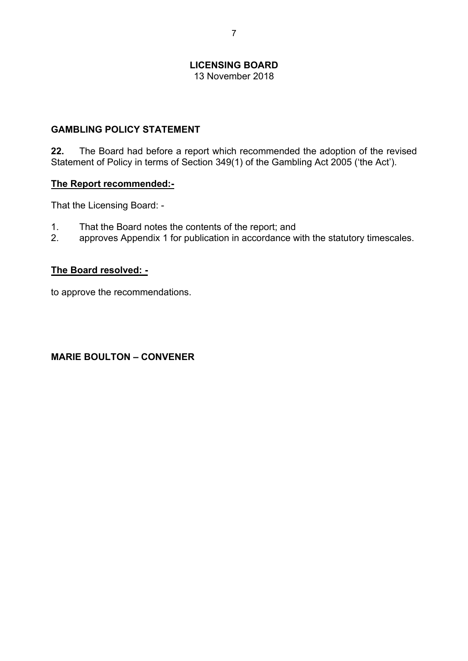13 November 2018

#### **GAMBLING POLICY STATEMENT**

**22.** The Board had before a report which recommended the adoption of the revised Statement of Policy in terms of Section 349(1) of the Gambling Act 2005 ('the Act').

#### **The Report recommended:-**

That the Licensing Board: -

- 1. That the Board notes the contents of the report; and
- 2. approves Appendix 1 for publication in accordance with the statutory timescales.

#### **The Board resolved: -**

to approve the recommendations.

### **MARIE BOULTON – CONVENER**